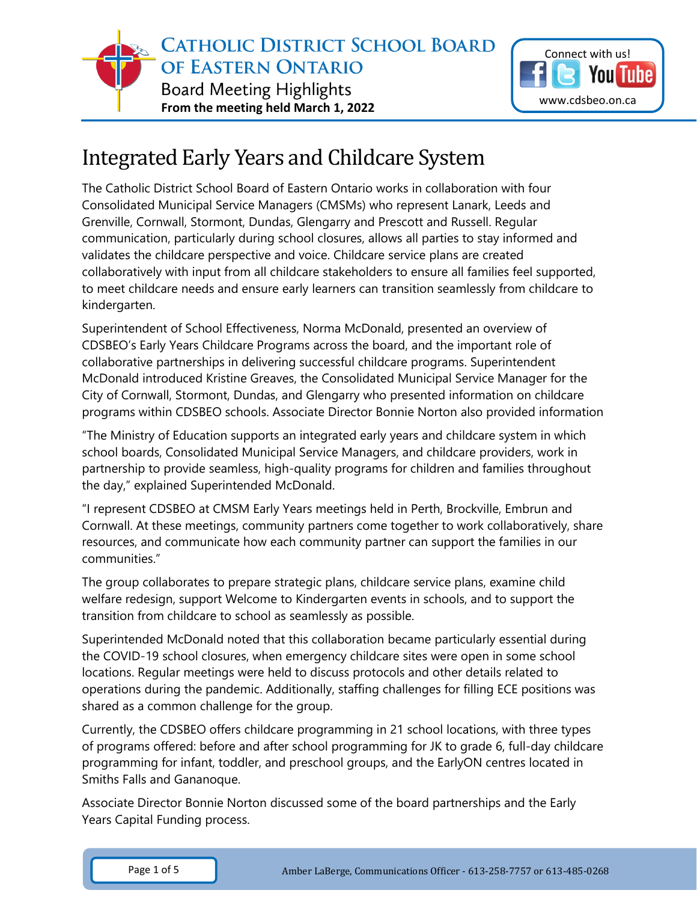



## Integrated Early Years and Childcare System

The Catholic District School Board of Eastern Ontario works in collaboration with four Consolidated Municipal Service Managers (CMSMs) who represent Lanark, Leeds and Grenville, Cornwall, Stormont, Dundas, Glengarry and Prescott and Russell. Regular communication, particularly during school closures, allows all parties to stay informed and validates the childcare perspective and voice. Childcare service plans are created collaboratively with input from all childcare stakeholders to ensure all families feel supported, to meet childcare needs and ensure early learners can transition seamlessly from childcare to kindergarten.

Superintendent of School Effectiveness, Norma McDonald, presented an overview of CDSBEO's Early Years Childcare Programs across the board, and the important role of collaborative partnerships in delivering successful childcare programs. Superintendent McDonald introduced Kristine Greaves, the Consolidated Municipal Service Manager for the City of Cornwall, Stormont, Dundas, and Glengarry who presented information on childcare programs within CDSBEO schools. Associate Director Bonnie Norton also provided information

"The Ministry of Education supports an integrated early years and childcare system in which school boards, Consolidated Municipal Service Managers, and childcare providers, work in partnership to provide seamless, high-quality programs for children and families throughout the day," explained Superintended McDonald.

"I represent CDSBEO at CMSM Early Years meetings held in Perth, Brockville, Embrun and Cornwall. At these meetings, community partners come together to work collaboratively, share resources, and communicate how each community partner can support the families in our communities."

The group collaborates to prepare strategic plans, childcare service plans, examine child welfare redesign, support Welcome to Kindergarten events in schools, and to support the transition from childcare to school as seamlessly as possible.

Superintended McDonald noted that this collaboration became particularly essential during the COVID-19 school closures, when emergency childcare sites were open in some school locations. Regular meetings were held to discuss protocols and other details related to operations during the pandemic. Additionally, staffing challenges for filling ECE positions was shared as a common challenge for the group.

Currently, the CDSBEO offers childcare programming in 21 school locations, with three types of programs offered: before and after school programming for JK to grade 6, full-day childcare programming for infant, toddler, and preschool groups, and the EarlyON centres located in Smiths Falls and Gananoque.

Associate Director Bonnie Norton discussed some of the board partnerships and the Early Years Capital Funding process.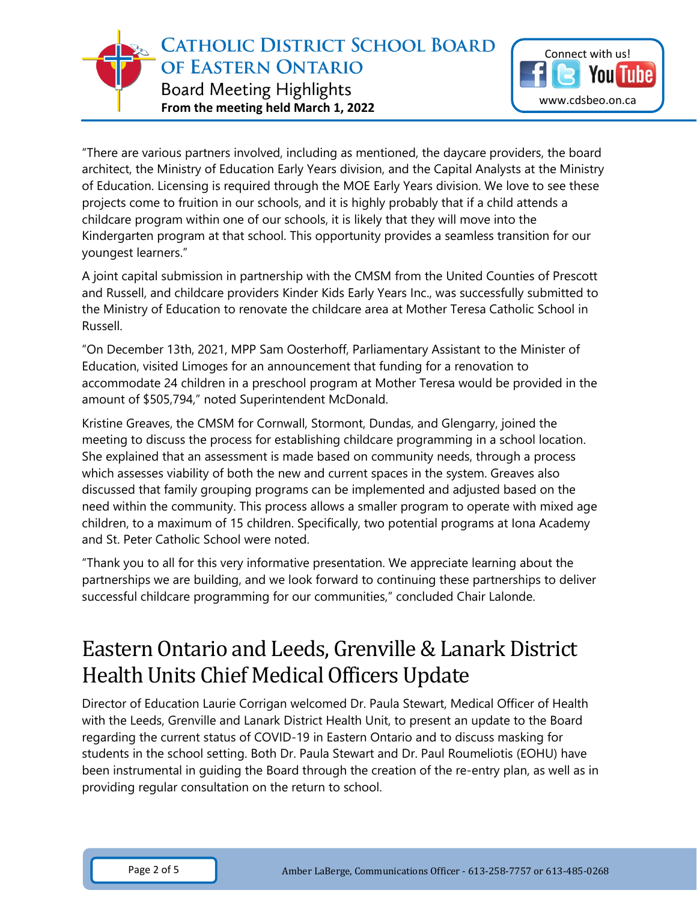**CATHOLIC DISTRICT SCHOOL BOARD** OF EASTERN ONTARIO **Board Meeting Highlights From the meeting held March 1, 2022**



"There are various partners involved, including as mentioned, the daycare providers, the board architect, the Ministry of Education Early Years division, and the Capital Analysts at the Ministry of Education. Licensing is required through the MOE Early Years division. We love to see these projects come to fruition in our schools, and it is highly probably that if a child attends a childcare program within one of our schools, it is likely that they will move into the Kindergarten program at that school. This opportunity provides a seamless transition for our youngest learners."

A joint capital submission in partnership with the CMSM from the United Counties of Prescott and Russell, and childcare providers Kinder Kids Early Years Inc., was successfully submitted to the Ministry of Education to renovate the childcare area at Mother Teresa Catholic School in Russell.

"On December 13th, 2021, MPP Sam Oosterhoff, Parliamentary Assistant to the Minister of Education, visited Limoges for an announcement that funding for a renovation to accommodate 24 children in a preschool program at Mother Teresa would be provided in the amount of \$505,794," noted Superintendent McDonald.

Kristine Greaves, the CMSM for Cornwall, Stormont, Dundas, and Glengarry, joined the meeting to discuss the process for establishing childcare programming in a school location. She explained that an assessment is made based on community needs, through a process which assesses viability of both the new and current spaces in the system. Greaves also discussed that family grouping programs can be implemented and adjusted based on the need within the community. This process allows a smaller program to operate with mixed age children, to a maximum of 15 children. Specifically, two potential programs at Iona Academy and St. Peter Catholic School were noted.

"Thank you to all for this very informative presentation. We appreciate learning about the partnerships we are building, and we look forward to continuing these partnerships to deliver successful childcare programming for our communities," concluded Chair Lalonde.

## Eastern Ontario and Leeds, Grenville & Lanark District Health Units Chief Medical Officers Update

Director of Education Laurie Corrigan welcomed Dr. Paula Stewart, Medical Officer of Health with the Leeds, Grenville and Lanark District Health Unit, to present an update to the Board regarding the current status of COVID-19 in Eastern Ontario and to discuss masking for students in the school setting. Both Dr. Paula Stewart and Dr. Paul Roumeliotis (EOHU) have been instrumental in guiding the Board through the creation of the re-entry plan, as well as in providing regular consultation on the return to school.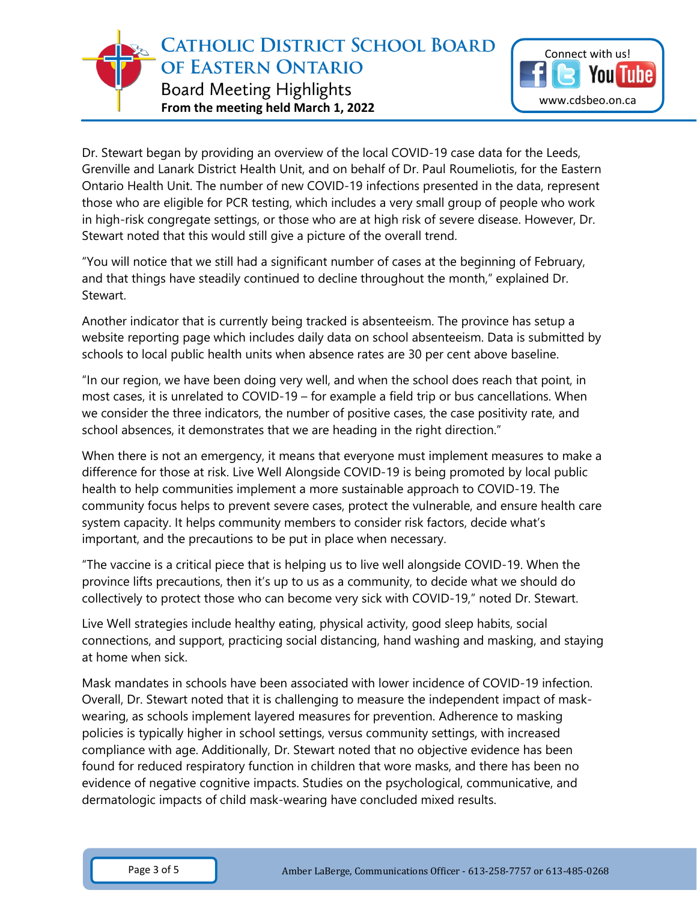**CATHOLIC DISTRICT SCHOOL BOARD** OF EASTERN ONTARIO **Board Meeting Highlights From the meeting held March 1, 2022**



Dr. Stewart began by providing an overview of the local COVID-19 case data for the Leeds, Grenville and Lanark District Health Unit, and on behalf of Dr. Paul Roumeliotis, for the Eastern Ontario Health Unit. The number of new COVID-19 infections presented in the data, represent those who are eligible for PCR testing, which includes a very small group of people who work in high-risk congregate settings, or those who are at high risk of severe disease. However, Dr. Stewart noted that this would still give a picture of the overall trend.

"You will notice that we still had a significant number of cases at the beginning of February, and that things have steadily continued to decline throughout the month," explained Dr. Stewart.

Another indicator that is currently being tracked is absenteeism. The province has setup a website reporting page which includes daily data on school absenteeism. Data is submitted by schools to local public health units when absence rates are 30 per cent above baseline.

"In our region, we have been doing very well, and when the school does reach that point, in most cases, it is unrelated to COVID-19 – for example a field trip or bus cancellations. When we consider the three indicators, the number of positive cases, the case positivity rate, and school absences, it demonstrates that we are heading in the right direction."

When there is not an emergency, it means that everyone must implement measures to make a difference for those at risk. Live Well Alongside COVID-19 is being promoted by local public health to help communities implement a more sustainable approach to COVID-19. The community focus helps to prevent severe cases, protect the vulnerable, and ensure health care system capacity. It helps community members to consider risk factors, decide what's important, and the precautions to be put in place when necessary.

"The vaccine is a critical piece that is helping us to live well alongside COVID-19. When the province lifts precautions, then it's up to us as a community, to decide what we should do collectively to protect those who can become very sick with COVID-19," noted Dr. Stewart.

Live Well strategies include healthy eating, physical activity, good sleep habits, social connections, and support, practicing social distancing, hand washing and masking, and staying at home when sick.

Mask mandates in schools have been associated with lower incidence of COVID-19 infection. Overall, Dr. Stewart noted that it is challenging to measure the independent impact of maskwearing, as schools implement layered measures for prevention. Adherence to masking policies is typically higher in school settings, versus community settings, with increased compliance with age. Additionally, Dr. Stewart noted that no objective evidence has been found for reduced respiratory function in children that wore masks, and there has been no evidence of negative cognitive impacts. Studies on the psychological, communicative, and dermatologic impacts of child mask-wearing have concluded mixed results.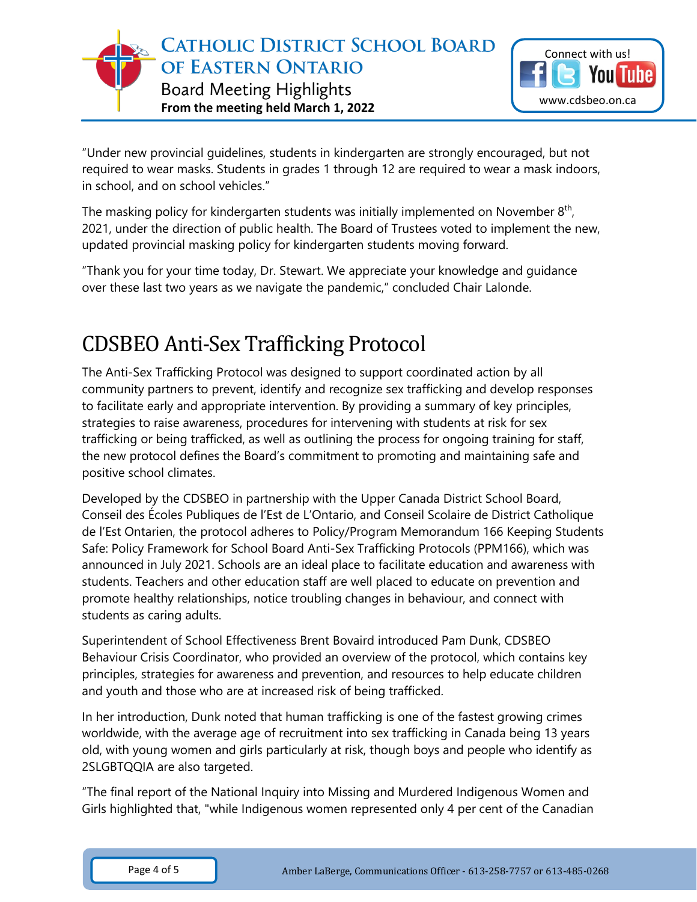

"Under new provincial guidelines, students in kindergarten are strongly encouraged, but not required to wear masks. Students in grades 1 through 12 are required to wear a mask indoors, in school, and on school vehicles."

The masking policy for kindergarten students was initially implemented on November  $8<sup>th</sup>$ , 2021, under the direction of public health. The Board of Trustees voted to implement the new, updated provincial masking policy for kindergarten students moving forward.

"Thank you for your time today, Dr. Stewart. We appreciate your knowledge and guidance over these last two years as we navigate the pandemic," concluded Chair Lalonde.

## CDSBEO Anti-Sex Trafficking Protocol

The Anti-Sex Trafficking Protocol was designed to support coordinated action by all community partners to prevent, identify and recognize sex trafficking and develop responses to facilitate early and appropriate intervention. By providing a summary of key principles, strategies to raise awareness, procedures for intervening with students at risk for sex trafficking or being trafficked, as well as outlining the process for ongoing training for staff, the new protocol defines the Board's commitment to promoting and maintaining safe and positive school climates.

Developed by the CDSBEO in partnership with the Upper Canada District School Board, Conseil des Écoles Publiques de l'Est de L'Ontario, and Conseil Scolaire de District Catholique de l'Est Ontarien, the protocol adheres to Policy/Program Memorandum 166 Keeping Students Safe: Policy Framework for School Board Anti-Sex Trafficking Protocols (PPM166), which was announced in July 2021. Schools are an ideal place to facilitate education and awareness with students. Teachers and other education staff are well placed to educate on prevention and promote healthy relationships, notice troubling changes in behaviour, and connect with students as caring adults.

Superintendent of School Effectiveness Brent Bovaird introduced Pam Dunk, CDSBEO Behaviour Crisis Coordinator, who provided an overview of the protocol, which contains key principles, strategies for awareness and prevention, and resources to help educate children and youth and those who are at increased risk of being trafficked.

In her introduction, Dunk noted that human trafficking is one of the fastest growing crimes worldwide, with the average age of recruitment into sex trafficking in Canada being 13 years old, with young women and girls particularly at risk, though boys and people who identify as 2SLGBTQQIA are also targeted.

"The final report of the National Inquiry into Missing and Murdered Indigenous Women and Girls highlighted that, "while Indigenous women represented only 4 per cent of the Canadian